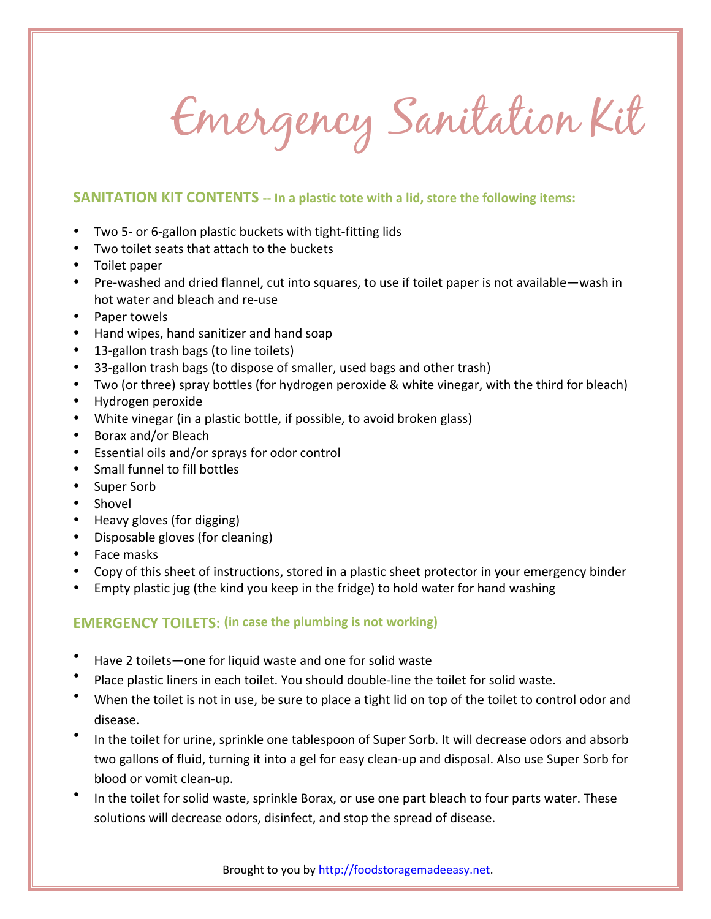Emergency Sanitation Kit

## **SANITATION KIT CONTENTS -- In a plastic tote with a lid, store the following items:**

- Two 5- or 6-gallon plastic buckets with tight-fitting lids
- Two toilet seats that attach to the buckets
- Toilet paper
- Pre-washed and dried flannel, cut into squares, to use if toilet paper is not available—wash in hot water and bleach and re-use
- Paper towels
- Hand wipes, hand sanitizer and hand soap
- 13-gallon trash bags (to line toilets)
- 33-gallon trash bags (to dispose of smaller, used bags and other trash)
- Two (or three) spray bottles (for hydrogen peroxide & white vinegar, with the third for bleach)
- Hydrogen peroxide
- White vinegar (in a plastic bottle, if possible, to avoid broken glass)
- Borax and/or Bleach
- Essential oils and/or sprays for odor control
- Small funnel to fill bottles
- Super Sorb
- Shovel
- Heavy gloves (for digging)
- Disposable gloves (for cleaning)
- Face masks
- Copy of this sheet of instructions, stored in a plastic sheet protector in your emergency binder
- Empty plastic jug (the kind you keep in the fridge) to hold water for hand washing

## **EMERGENCY TOILETS: (in case the plumbing is not working)**

- Have 2 toilets—one for liquid waste and one for solid waste
- Place plastic liners in each toilet. You should double-line the toilet for solid waste.
- When the toilet is not in use, be sure to place a tight lid on top of the toilet to control odor and disease.
- In the toilet for urine, sprinkle one tablespoon of Super Sorb. It will decrease odors and absorb two gallons of fluid, turning it into a gel for easy clean-up and disposal. Also use Super Sorb for blood or vomit clean-up.
- In the toilet for solid waste, sprinkle Borax, or use one part bleach to four parts water. These solutions will decrease odors, disinfect, and stop the spread of disease.